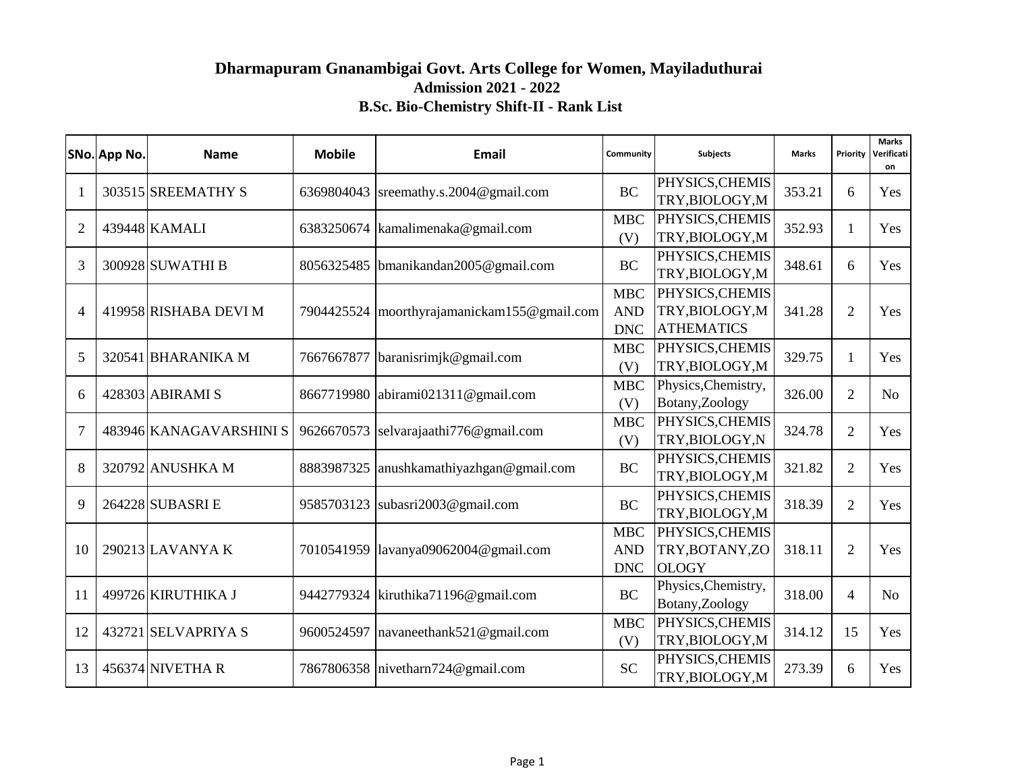## **Admission 2021 - 2022 B.Sc. Bio-Chemistry Shift-II - Rank List Dharmapuram Gnanambigai Govt. Arts College for Women, Mayiladuthurai**

|                | SNo. App No. | <b>Name</b>             | <b>Mobile</b> | <b>Email</b>                                  | Community                              | <b>Subjects</b>                                         | <b>Marks</b> | Priority       | <b>Marks</b><br>Verificati<br>on |
|----------------|--------------|-------------------------|---------------|-----------------------------------------------|----------------------------------------|---------------------------------------------------------|--------------|----------------|----------------------------------|
| $\mathbf{1}$   |              | 303515 SREEMATHY S      |               | 6369804043 sreemathy.s.2004@gmail.com         | <b>BC</b>                              | PHYSICS, CHEMIS<br>TRY, BIOLOGY, M                      | 353.21       | 6              | Yes                              |
| $\overline{2}$ |              | 439448 KAMALI           |               | 6383250674   kamalimenaka@gmail.com           | <b>MBC</b><br>(V)                      | PHYSICS, CHEMIS<br>TRY, BIOLOGY, M                      | 352.93       | 1              | Yes                              |
| 3              |              | 300928 SUWATHI B        |               | 8056325485   bmanikandan 2005@gmail.com       | <b>BC</b>                              | PHYSICS, CHEMIS<br>TRY, BIOLOGY, M                      | 348.61       | 6              | Yes                              |
| $\overline{4}$ |              | 419958 RISHABA DEVI M   |               | 7904425524   moorthyrajamanickam155@gmail.com | <b>MBC</b><br><b>AND</b><br><b>DNC</b> | PHYSICS, CHEMIS<br>TRY, BIOLOGY, M<br><b>ATHEMATICS</b> | 341.28       | $\overline{2}$ | Yes                              |
| 5              |              | 320541 BHARANIKA M      |               | 7667667877 baranisrimjk@gmail.com             | <b>MBC</b><br>(V)                      | PHYSICS, CHEMIS<br>TRY, BIOLOGY, M                      | 329.75       | 1              | Yes                              |
| 6              |              | 428303 ABIRAMI S        |               | 8667719980 abirami021311@gmail.com            | <b>MBC</b><br>(V)                      | Physics, Chemistry,<br>Botany, Zoology                  | 326.00       | $\overline{2}$ | N <sub>o</sub>                   |
| $\overline{7}$ |              | 483946 KANAGAVARSHINI S |               | 9626670573 selvarajaathi776@gmail.com         | <b>MBC</b><br>(V)                      | PHYSICS, CHEMIS<br>TRY, BIOLOGY, N                      | 324.78       | $\overline{2}$ | Yes                              |
| 8              |              | 320792 ANUSHKA M        |               | 8883987325 anushkamathiyazhgan@gmail.com      | <b>BC</b>                              | PHYSICS, CHEMIS<br>TRY, BIOLOGY, M                      | 321.82       | $\overline{2}$ | Yes                              |
| 9              |              | 264228 SUBASRI E        |               | 9585703123 subasri2003@gmail.com              | <b>BC</b>                              | PHYSICS, CHEMIS<br>TRY, BIOLOGY, M                      | 318.39       | $\overline{2}$ | Yes                              |
| 10             |              | 290213 LAVANYA K        |               | 7010541959 lavanya09062004@gmail.com          | <b>MBC</b><br><b>AND</b><br><b>DNC</b> | PHYSICS, CHEMIS<br>TRY, BOTANY, ZO<br><b>OLOGY</b>      | 318.11       | $\overline{2}$ | Yes                              |
| 11             |              | 499726 KIRUTHIKA J      |               | 9442779324 kiruthika71196@gmail.com           | <b>BC</b>                              | Physics, Chemistry,<br>Botany, Zoology                  | 318.00       | $\overline{4}$ | No                               |
| 12             |              | 432721 SELVAPRIYA S     |               | 9600524597   navaneethank521@gmail.com        | <b>MBC</b><br>(V)                      | PHYSICS, CHEMIS<br>TRY, BIOLOGY, M                      | 314.12       | 15             | Yes                              |
| 13             |              | 456374 NIVETHAR         |               | 7867806358 nivetharn724@gmail.com             | <b>SC</b>                              | PHYSICS, CHEMIS<br>TRY, BIOLOGY, M                      | 273.39       | 6              | Yes                              |